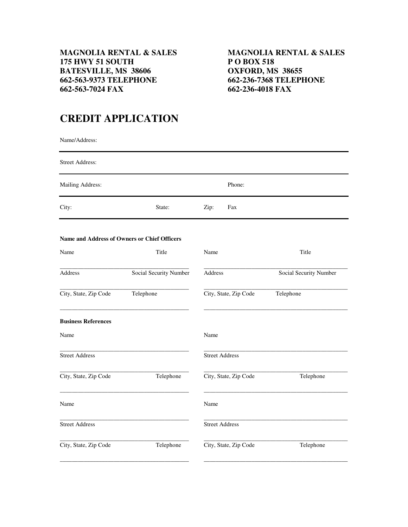## **662-563-7024 FAX 662-236-4018 FAX**

## **CREDIT APPLICATION**

Name/Address:

| <b>Street Address:</b>                       |                        |                       |                        |
|----------------------------------------------|------------------------|-----------------------|------------------------|
| Mailing Address:                             |                        | Phone:                |                        |
| City:                                        | State:                 | Zip:<br>Fax           |                        |
| Name and Address of Owners or Chief Officers |                        |                       |                        |
| Name                                         | Title                  | Name                  | Title                  |
| Address                                      | Social Security Number | Address               | Social Security Number |
| City, State, Zip Code                        | Telephone              | City, State, Zip Code | Telephone              |
| <b>Business References</b>                   |                        |                       |                        |
| Name                                         |                        | Name                  |                        |
| <b>Street Address</b>                        |                        | <b>Street Address</b> |                        |
| City, State, Zip Code                        | Telephone              | City, State, Zip Code | Telephone              |
| Name                                         |                        | Name                  |                        |
| <b>Street Address</b>                        |                        | <b>Street Address</b> |                        |
| City, State, Zip Code                        | Telephone              | City, State, Zip Code | Telephone              |